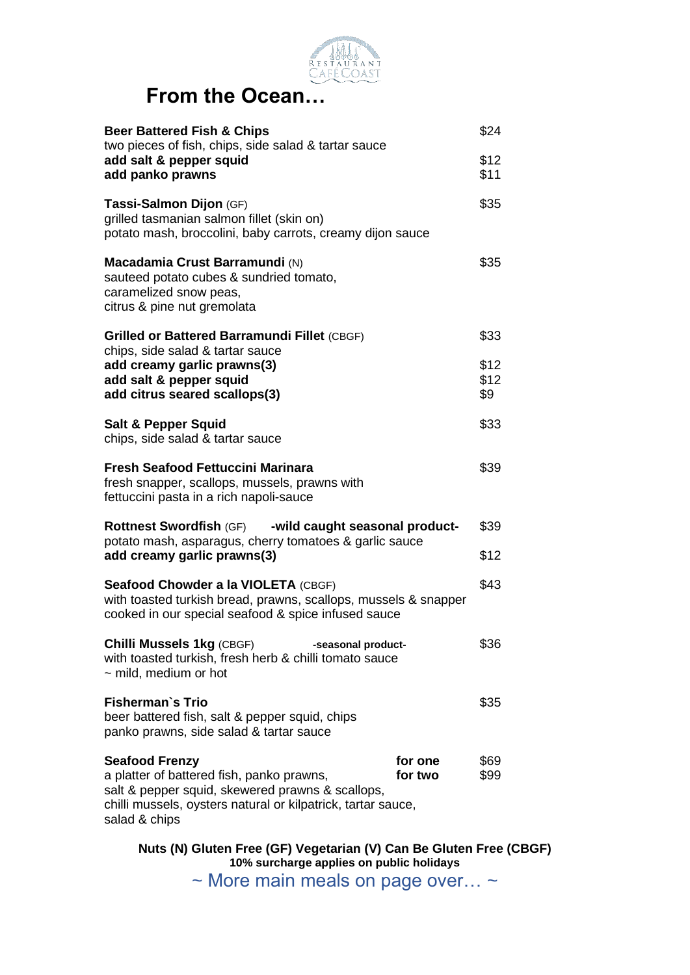

## **From the Ocean…**

| <b>Beer Battered Fish &amp; Chips</b><br>two pieces of fish, chips, side salad & tartar sauce                                                                                                           |                    | \$24                |
|---------------------------------------------------------------------------------------------------------------------------------------------------------------------------------------------------------|--------------------|---------------------|
| add salt & pepper squid<br>add panko prawns                                                                                                                                                             |                    | \$12<br>\$11        |
| Tassi-Salmon Dijon (GF)<br>grilled tasmanian salmon fillet (skin on)<br>potato mash, broccolini, baby carrots, creamy dijon sauce                                                                       |                    | \$35                |
| Macadamia Crust Barramundi (N)<br>sauteed potato cubes & sundried tomato,<br>caramelized snow peas,<br>citrus & pine nut gremolata                                                                      |                    | \$35                |
| <b>Grilled or Battered Barramundi Fillet (CBGF)</b><br>chips, side salad & tartar sauce                                                                                                                 |                    | \$33                |
| add creamy garlic prawns(3)<br>add salt & pepper squid<br>add citrus seared scallops(3)                                                                                                                 |                    | \$12<br>\$12<br>\$9 |
| <b>Salt &amp; Pepper Squid</b><br>chips, side salad & tartar sauce                                                                                                                                      |                    | \$33                |
| Fresh Seafood Fettuccini Marinara<br>fresh snapper, scallops, mussels, prawns with<br>fettuccini pasta in a rich napoli-sauce                                                                           |                    | \$39                |
| Rottnest Swordfish (GF) - wild caught seasonal product-<br>potato mash, asparagus, cherry tomatoes & garlic sauce<br>add creamy garlic prawns(3)                                                        |                    | \$39<br>\$12        |
| Seafood Chowder a la VIOLETA (CBGF)<br>with toasted turkish bread, prawns, scallops, mussels & snapper<br>cooked in our special seafood & spice infused sauce                                           |                    | \$43                |
| <b>Chilli Mussels 1kg (CBGF)</b><br>-seasonal product-<br>with toasted turkish, fresh herb & chilli tomato sauce<br>$\sim$ mild, medium or hot                                                          |                    | \$36                |
| <b>Fisherman's Trio</b><br>beer battered fish, salt & pepper squid, chips<br>panko prawns, side salad & tartar sauce                                                                                    |                    | \$35                |
| <b>Seafood Frenzy</b><br>a platter of battered fish, panko prawns,<br>salt & pepper squid, skewered prawns & scallops,<br>chilli mussels, oysters natural or kilpatrick, tartar sauce,<br>salad & chips | for one<br>for two | \$69<br>\$99        |

**Nuts (N) Gluten Free (GF) Vegetarian (V) Can Be Gluten Free (CBGF) 10% surcharge applies on public holidays**

~ More main meals on page over... ~